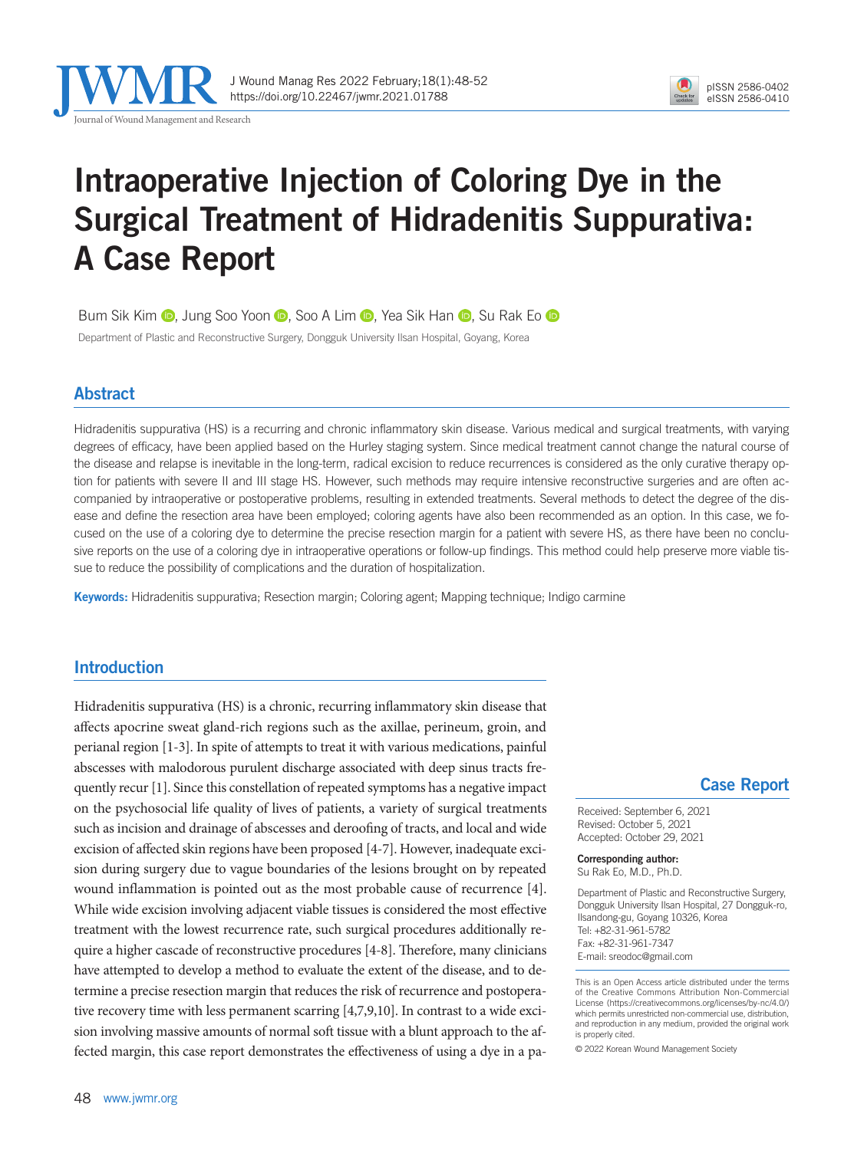

J Wound Manag Res 2022 February;18(1):48-52 https://doi.org/10.22467/jwmr.2021.01788



## Intraoperative Injection of Coloring Dye in the Surgical Treatment of Hidradenitis Suppurativa: A Case Report

BumSik Kim **D**, Jung Soo Yoon **D**, Soo A Lim **D**, Yea Sik Han **D**, Su Rak Eo D

Department of Plastic and Reconstructive Surgery, Dongguk University Ilsan Hospital, Goyang, Korea

### Abstract

Hidradenitis suppurativa (HS) is a recurring and chronic inflammatory skin disease. Various medical and surgical treatments, with varying degrees of efficacy, have been applied based on the Hurley staging system. Since medical treatment cannot change the natural course of the disease and relapse is inevitable in the long-term, radical excision to reduce recurrences is considered as the only curative therapy option for patients with severe II and III stage HS. However, such methods may require intensive reconstructive surgeries and are often accompanied by intraoperative or postoperative problems, resulting in extended treatments. Several methods to detect the degree of the disease and define the resection area have been employed; coloring agents have also been recommended as an option. In this case, we focused on the use of a coloring dye to determine the precise resection margin for a patient with severe HS, as there have been no conclusive reports on the use of a coloring dye in intraoperative operations or follow-up findings. This method could help preserve more viable tissue to reduce the possibility of complications and the duration of hospitalization.

Keywords: Hidradenitis suppurativa; Resection margin; Coloring agent; Mapping technique; Indigo carmine

### Introduction

Hidradenitis suppurativa (HS) is a chronic, recurring inflammatory skin disease that affects apocrine sweat gland-rich regions such as the axillae, perineum, groin, and perianal region [1-3]. In spite of attempts to treat it with various medications, painful abscesses with malodorous purulent discharge associated with deep sinus tracts frequently recur [1]. Since this constellation of repeated symptoms has a negative impact on the psychosocial life quality of lives of patients, a variety of surgical treatments such as incision and drainage of abscesses and deroofing of tracts, and local and wide excision of affected skin regions have been proposed [4-7]. However, inadequate excision during surgery due to vague boundaries of the lesions brought on by repeated wound inflammation is pointed out as the most probable cause of recurrence [4]. While wide excision involving adjacent viable tissues is considered the most effective treatment with the lowest recurrence rate, such surgical procedures additionally require a higher cascade of reconstructive procedures [4-8]. Therefore, many clinicians have attempted to develop a method to evaluate the extent of the disease, and to determine a precise resection margin that reduces the risk of recurrence and postoperative recovery time with less permanent scarring [4,7,9,10]. In contrast to a wide excision involving massive amounts of normal soft tissue with a blunt approach to the affected margin, this case report demonstrates the effectiveness of using a dye in a pa-

### Case Report

Received: September 6, 2021 Revised: October 5, 2021 Accepted: October 29, 2021

Corresponding author: Su Rak Eo, M.D., Ph.D.

Department of Plastic and Reconstructive Surgery, Dongguk University Ilsan Hospital, 27 Dongguk-ro, Ilsandong-gu, Goyang 10326, Korea Tel: +82-31-961-5782 Fax: +82-31-961-7347 E-mail: sreodoc@gmail.com

This is an Open Access article distributed under the terms of the Creative Commons Attribution Non-Commercial License (https://creativecommons.org/licenses/by-nc/4.0/) which permits unrestricted non-commercial use, distribution, and reproduction in any medium, provided the original work is properly cited.

© 2022 Korean Wound Management Society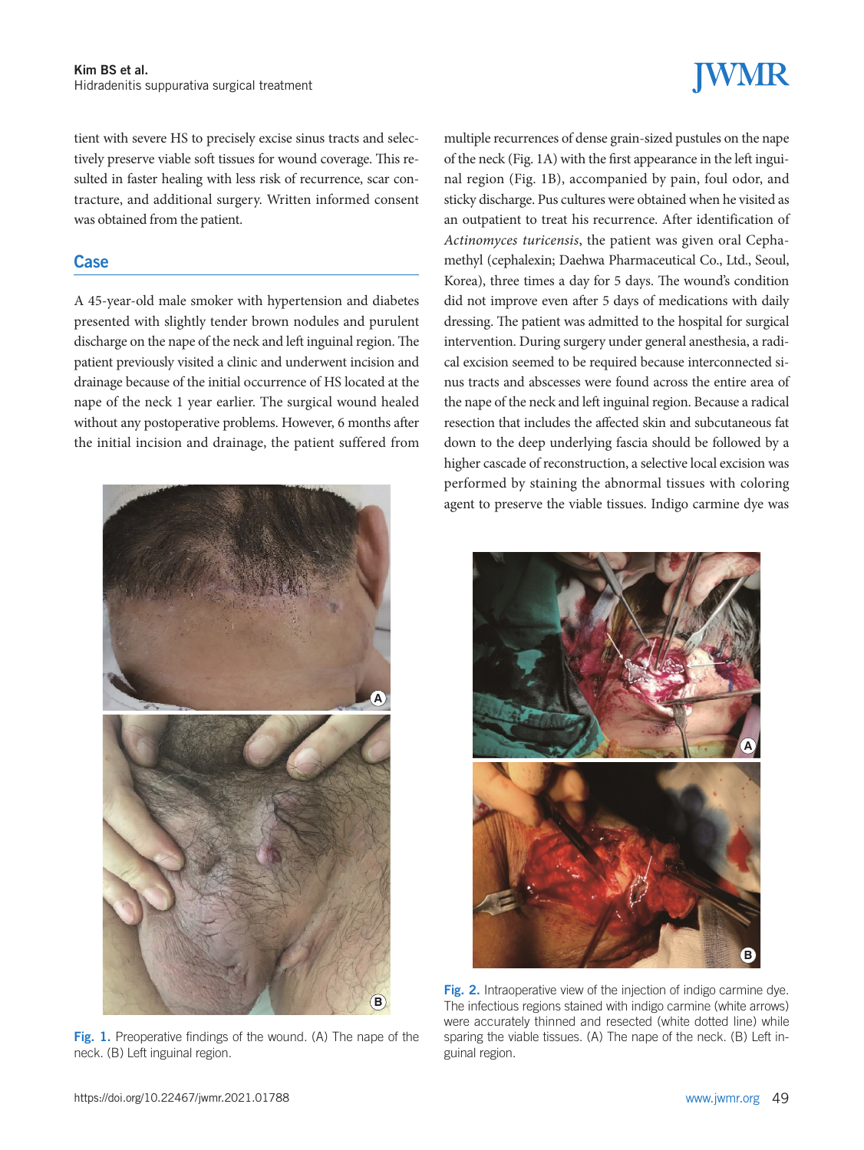# **JWMR**

tient with severe HS to precisely excise sinus tracts and selectively preserve viable soft tissues for wound coverage. This resulted in faster healing with less risk of recurrence, scar contracture, and additional surgery. Written informed consent was obtained from the patient.

### **Case**

A 45-year-old male smoker with hypertension and diabetes presented with slightly tender brown nodules and purulent discharge on the nape of the neck and left inguinal region. The patient previously visited a clinic and underwent incision and drainage because of the initial occurrence of HS located at the nape of the neck 1 year earlier. The surgical wound healed without any postoperative problems. However, 6 months after the initial incision and drainage, the patient suffered from



Fig. 1. Preoperative findings of the wound. (A) The nape of the neck. (B) Left inguinal region.

multiple recurrences of dense grain-sized pustules on the nape of the neck (Fig. 1A) with the first appearance in the left inguinal region (Fig. 1B), accompanied by pain, foul odor, and sticky discharge. Pus cultures were obtained when he visited as an outpatient to treat his recurrence. After identification of *Actinomyces turicensis*, the patient was given oral Cephamethyl (cephalexin; Daehwa Pharmaceutical Co., Ltd., Seoul, Korea), three times a day for 5 days. The wound's condition did not improve even after 5 days of medications with daily dressing. The patient was admitted to the hospital for surgical intervention. During surgery under general anesthesia, a radical excision seemed to be required because interconnected sinus tracts and abscesses were found across the entire area of the nape of the neck and left inguinal region. Because a radical resection that includes the affected skin and subcutaneous fat down to the deep underlying fascia should be followed by a higher cascade of reconstruction, a selective local excision was performed by staining the abnormal tissues with coloring agent to preserve the viable tissues. Indigo carmine dye was



Fig. 2. Intraoperative view of the injection of indigo carmine dye. The infectious regions stained with indigo carmine (white arrows) were accurately thinned and resected (white dotted line) while sparing the viable tissues. (A) The nape of the neck. (B) Left inguinal region.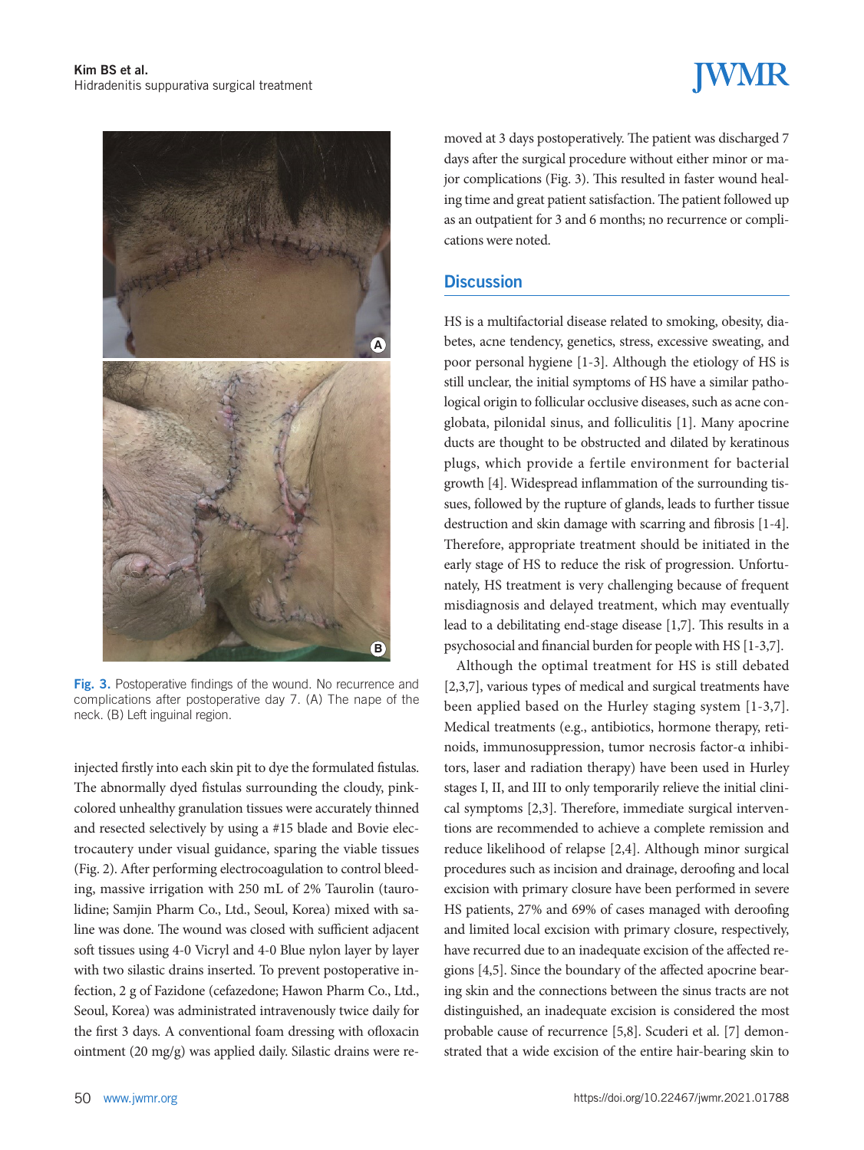## **JWMR**



Fig. 3. Postoperative findings of the wound. No recurrence and complications after postoperative day 7. (A) The nape of the neck. (B) Left inguinal region.

injected firstly into each skin pit to dye the formulated fistulas. The abnormally dyed fistulas surrounding the cloudy, pinkcolored unhealthy granulation tissues were accurately thinned and resected selectively by using a #15 blade and Bovie electrocautery under visual guidance, sparing the viable tissues (Fig. 2). After performing electrocoagulation to control bleeding, massive irrigation with 250 mL of 2% Taurolin (taurolidine; Samjin Pharm Co., Ltd., Seoul, Korea) mixed with saline was done. The wound was closed with sufficient adjacent soft tissues using 4-0 Vicryl and 4-0 Blue nylon layer by layer with two silastic drains inserted. To prevent postoperative infection, 2 g of Fazidone (cefazedone; Hawon Pharm Co., Ltd., Seoul, Korea) was administrated intravenously twice daily for the first 3 days. A conventional foam dressing with ofloxacin ointment (20 mg/g) was applied daily. Silastic drains were removed at 3 days postoperatively. The patient was discharged 7 days after the surgical procedure without either minor or major complications (Fig. 3). This resulted in faster wound healing time and great patient satisfaction. The patient followed up as an outpatient for 3 and 6 months; no recurrence or complications were noted.

#### **Discussion**

HS is a multifactorial disease related to smoking, obesity, diabetes, acne tendency, genetics, stress, excessive sweating, and poor personal hygiene [1-3]. Although the etiology of HS is still unclear, the initial symptoms of HS have a similar pathological origin to follicular occlusive diseases, such as acne conglobata, pilonidal sinus, and folliculitis [1]. Many apocrine ducts are thought to be obstructed and dilated by keratinous plugs, which provide a fertile environment for bacterial growth [4]. Widespread inflammation of the surrounding tissues, followed by the rupture of glands, leads to further tissue destruction and skin damage with scarring and fibrosis [1-4]. Therefore, appropriate treatment should be initiated in the early stage of HS to reduce the risk of progression. Unfortunately, HS treatment is very challenging because of frequent misdiagnosis and delayed treatment, which may eventually lead to a debilitating end-stage disease [1,7]. This results in a psychosocial and financial burden for people with HS [1-3,7].

Although the optimal treatment for HS is still debated [2,3,7], various types of medical and surgical treatments have been applied based on the Hurley staging system [1-3,7]. Medical treatments (e.g., antibiotics, hormone therapy, retinoids, immunosuppression, tumor necrosis factor-α inhibitors, laser and radiation therapy) have been used in Hurley stages I, II, and III to only temporarily relieve the initial clinical symptoms [2,3]. Therefore, immediate surgical interventions are recommended to achieve a complete remission and reduce likelihood of relapse [2,4]. Although minor surgical procedures such as incision and drainage, deroofing and local excision with primary closure have been performed in severe HS patients, 27% and 69% of cases managed with deroofing and limited local excision with primary closure, respectively, have recurred due to an inadequate excision of the affected regions [4,5]. Since the boundary of the affected apocrine bearing skin and the connections between the sinus tracts are not distinguished, an inadequate excision is considered the most probable cause of recurrence [5,8]. Scuderi et al. [7] demonstrated that a wide excision of the entire hair-bearing skin to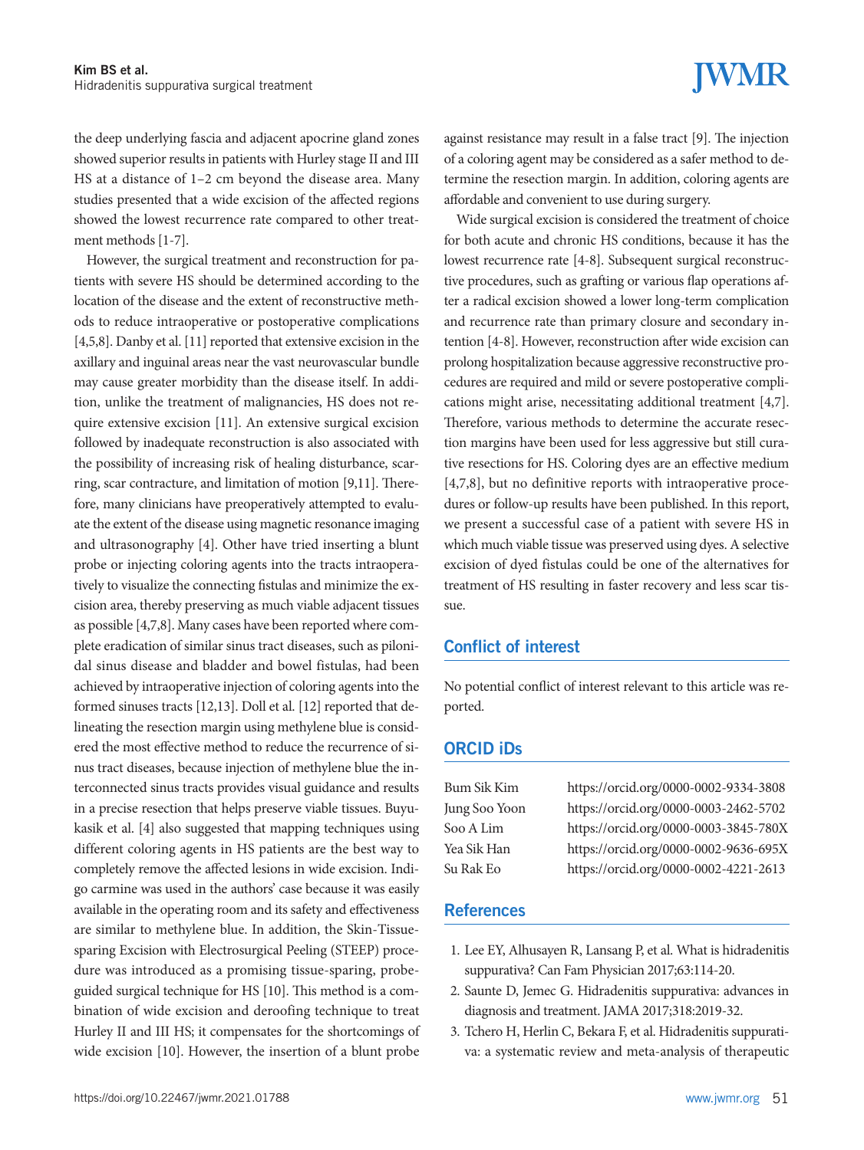**IWMR** 

the deep underlying fascia and adjacent apocrine gland zones showed superior results in patients with Hurley stage II and III HS at a distance of 1–2 cm beyond the disease area. Many studies presented that a wide excision of the affected regions showed the lowest recurrence rate compared to other treatment methods [1-7].

However, the surgical treatment and reconstruction for patients with severe HS should be determined according to the location of the disease and the extent of reconstructive methods to reduce intraoperative or postoperative complications [4,5,8]. Danby et al. [11] reported that extensive excision in the axillary and inguinal areas near the vast neurovascular bundle may cause greater morbidity than the disease itself. In addition, unlike the treatment of malignancies, HS does not require extensive excision [11]. An extensive surgical excision followed by inadequate reconstruction is also associated with the possibility of increasing risk of healing disturbance, scarring, scar contracture, and limitation of motion [9,11]. Therefore, many clinicians have preoperatively attempted to evaluate the extent of the disease using magnetic resonance imaging and ultrasonography [4]. Other have tried inserting a blunt probe or injecting coloring agents into the tracts intraoperatively to visualize the connecting fistulas and minimize the excision area, thereby preserving as much viable adjacent tissues as possible [4,7,8]. Many cases have been reported where complete eradication of similar sinus tract diseases, such as pilonidal sinus disease and bladder and bowel fistulas, had been achieved by intraoperative injection of coloring agents into the formed sinuses tracts [12,13]. Doll et al. [12] reported that delineating the resection margin using methylene blue is considered the most effective method to reduce the recurrence of sinus tract diseases, because injection of methylene blue the interconnected sinus tracts provides visual guidance and results in a precise resection that helps preserve viable tissues. Buyukasik et al. [4] also suggested that mapping techniques using different coloring agents in HS patients are the best way to completely remove the affected lesions in wide excision. Indigo carmine was used in the authors' case because it was easily available in the operating room and its safety and effectiveness are similar to methylene blue. In addition, the Skin-Tissuesparing Excision with Electrosurgical Peeling (STEEP) procedure was introduced as a promising tissue-sparing, probeguided surgical technique for HS [10]. This method is a combination of wide excision and deroofing technique to treat Hurley II and III HS; it compensates for the shortcomings of wide excision [10]. However, the insertion of a blunt probe

against resistance may result in a false tract [9]. The injection of a coloring agent may be considered as a safer method to determine the resection margin. In addition, coloring agents are affordable and convenient to use during surgery.

Wide surgical excision is considered the treatment of choice for both acute and chronic HS conditions, because it has the lowest recurrence rate [4-8]. Subsequent surgical reconstructive procedures, such as grafting or various flap operations after a radical excision showed a lower long-term complication and recurrence rate than primary closure and secondary intention [4-8]. However, reconstruction after wide excision can prolong hospitalization because aggressive reconstructive procedures are required and mild or severe postoperative complications might arise, necessitating additional treatment [4,7]. Therefore, various methods to determine the accurate resection margins have been used for less aggressive but still curative resections for HS. Coloring dyes are an effective medium [4,7,8], but no definitive reports with intraoperative procedures or follow-up results have been published. In this report, we present a successful case of a patient with severe HS in which much viable tissue was preserved using dyes. A selective excision of dyed fistulas could be one of the alternatives for treatment of HS resulting in faster recovery and less scar tissue.

### Conflict of interest

No potential conflict of interest relevant to this article was reported.

### ORCID iDs

Bum Sik Kim https://orcid.org/0000-0002-9334-3808 Jung Soo Yoon https://orcid.org/0000-0003-2462-5702 Soo A Lim https://orcid.org/0000-0003-3845-780X Yea Sik Han https://orcid.org/0000-0002-9636-695X Su Rak Eo https://orcid.org/0000-0002-4221-2613

#### **References**

- 1. Lee EY, Alhusayen R, Lansang P, et al. What is hidradenitis suppurativa? Can Fam Physician 2017;63:114-20.
- 2. Saunte D, Jemec G. Hidradenitis suppurativa: advances in diagnosis and treatment. JAMA 2017;318:2019-32.
- 3. Tchero H, Herlin C, Bekara F, et al. Hidradenitis suppurativa: a systematic review and meta-analysis of therapeutic